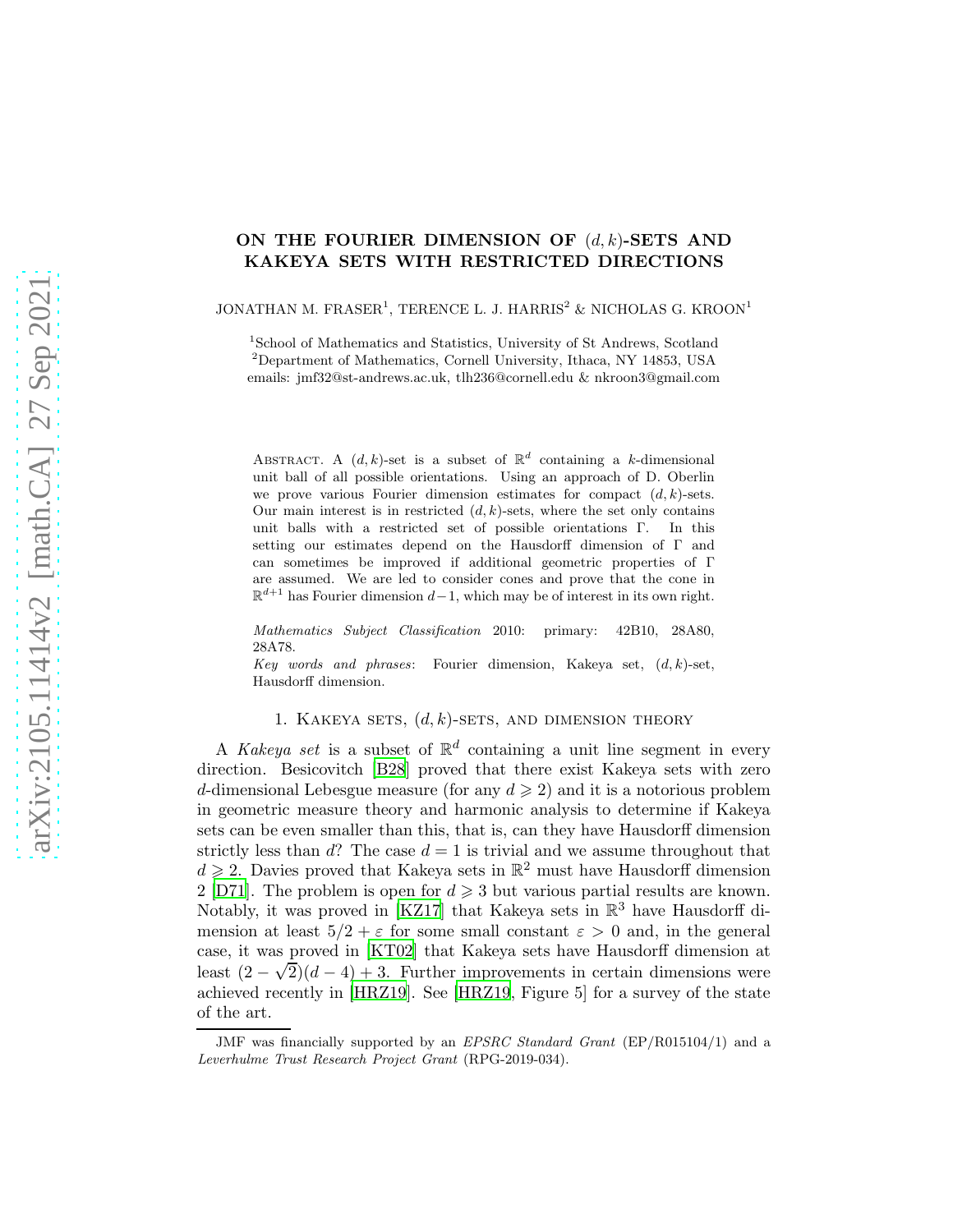# ON THE FOURIER DIMENSION OF  $(d, k)$ -SETS AND KAKEYA SETS WITH RESTRICTED DIRECTIONS

#### JONATHAN M. FRASER<sup>1</sup>, TERENCE L. J. HARRIS<sup>2</sup> & NICHOLAS G. KROON<sup>1</sup>

1 School of Mathematics and Statistics, University of St Andrews, Scotland

 $^{2}$ Department of Mathematics, Cornell University, Ithaca, NY 14853, USA emails: jmf32@st-andrews.ac.uk, tlh236@cornell.edu & nkroon3@gmail.com

ABSTRACT. A  $(d, k)$ -set is a subset of  $\mathbb{R}^d$  containing a k-dimensional unit ball of all possible orientations. Using an approach of D. Oberlin we prove various Fourier dimension estimates for compact  $(d, k)$ -sets. Our main interest is in restricted  $(d, k)$ -sets, where the set only contains unit balls with a restricted set of possible orientations Γ. In this setting our estimates depend on the Hausdorff dimension of Γ and can sometimes be improved if additional geometric properties of Γ are assumed. We are led to consider cones and prove that the cone in  $\mathbb{R}^{d+1}$  has Fourier dimension  $d-1$ , which may be of interest in its own right.

Mathematics Subject Classification 2010: primary: 42B10, 28A80, 28A78.

Key words and phrases: Fourier dimension, Kakeya set,  $(d, k)$ -set, Hausdorff dimension.

# 1. KAKEYA SETS,  $(d, k)$ -SETS, AND DIMENSION THEORY

A Kakeya set is a subset of  $\mathbb{R}^d$  containing a unit line segment in every direction. Besicovitch [\[B28](#page-11-0)] proved that there exist Kakeya sets with zero d-dimensional Lebesgue measure (for any  $d \geqslant 2$ ) and it is a notorious problem in geometric measure theory and harmonic analysis to determine if Kakeya sets can be even smaller than this, that is, can they have Hausdorff dimension strictly less than  $d$ ? The case  $d = 1$  is trivial and we assume throughout that  $d \geq 2$ . Davies proved that Kakeya sets in  $\mathbb{R}^2$  must have Hausdorff dimension 2 [\[D71\]](#page-11-1). The problem is open for  $d \geq 3$  but various partial results are known. Notably, it was proved in [\[KZ17](#page-12-0)] that Kakeya sets in  $\mathbb{R}^3$  have Hausdorff dimension at least  $5/2 + \varepsilon$  for some small constant  $\varepsilon > 0$  and, in the general case, it was proved in [\[KT02](#page-12-1)] that Kakeya sets have Hausdorff dimension at least  $(2 - \sqrt{2})(d - 4) + 3$ . Further improvements in certain dimensions were achieved recently in [\[HRZ19](#page-12-2)]. See [\[HRZ19](#page-12-2), Figure 5] for a survey of the state of the art.

JMF was financially supported by an *EPSRC Standard Grant* (EP/R015104/1) and a Leverhulme Trust Research Project Grant (RPG-2019-034).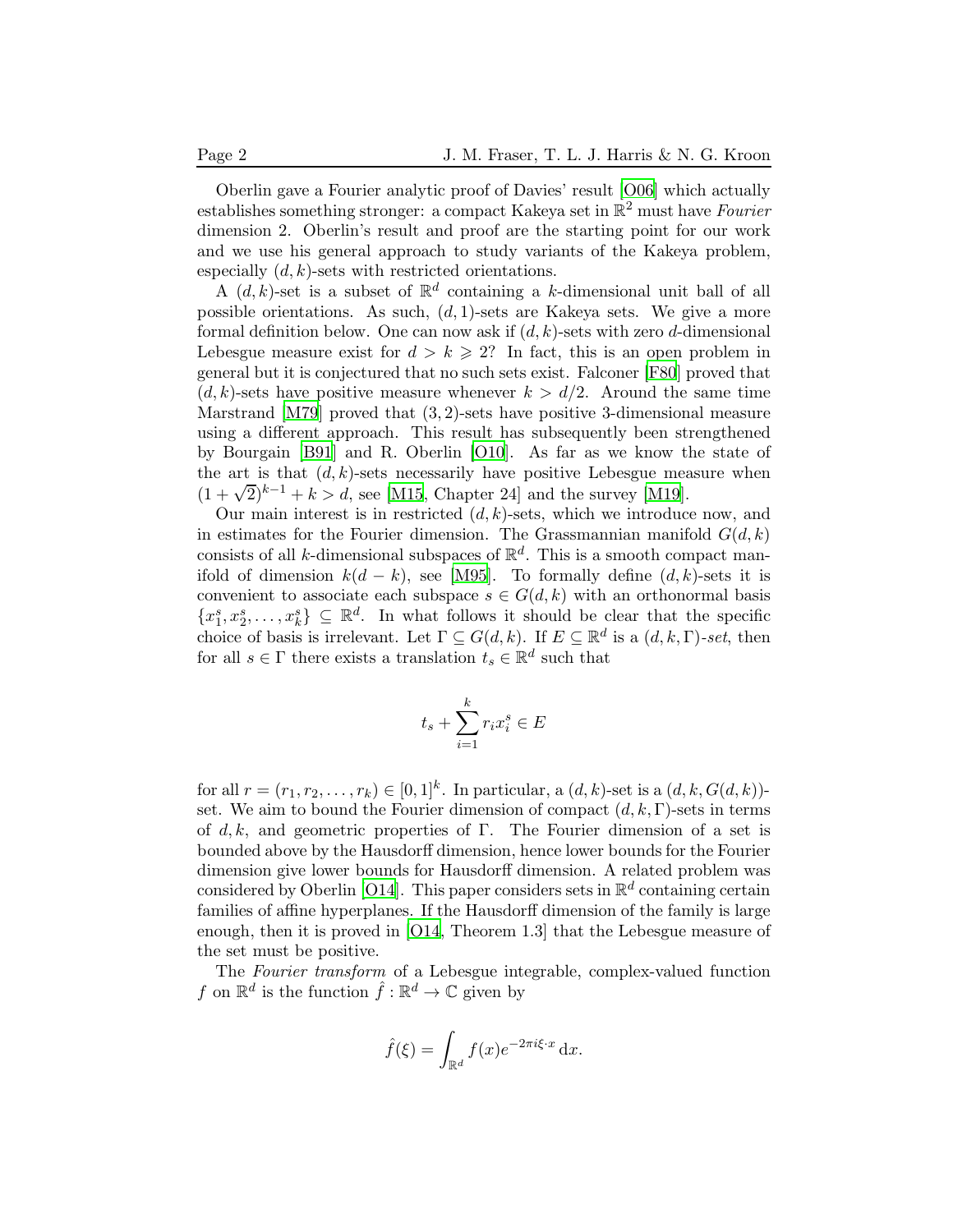Oberlin gave a Fourier analytic proof of Davies' result [\[O06](#page-12-3)] which actually establishes something stronger: a compact Kakeya set in  $\mathbb{R}^2$  must have Fourier dimension 2. Oberlin's result and proof are the starting point for our work and we use his general approach to study variants of the Kakeya problem, especially  $(d, k)$ -sets with restricted orientations.

A  $(d, k)$ -set is a subset of  $\mathbb{R}^d$  containing a k-dimensional unit ball of all possible orientations. As such,  $(d, 1)$ -sets are Kakeya sets. We give a more formal definition below. One can now ask if  $(d, k)$ -sets with zero d-dimensional Lebesgue measure exist for  $d > k \ge 2$ ? In fact, this is an open problem in general but it is conjectured that no such sets exist. Falconer [\[F80](#page-12-4)] proved that  $(d, k)$ -sets have positive measure whenever  $k > d/2$ . Around the same time Marstrand [\[M79](#page-12-5)] proved that  $(3, 2)$ -sets have positive 3-dimensional measure using a different approach. This result has subsequently been strengthened by Bourgain [\[B91](#page-11-2)] and R. Oberlin [\[O10](#page-12-6)]. As far as we know the state of the art is that  $(d, k)$ -sets necessarily have positive Lebesgue measure when  $(1 + \sqrt{2})^{k-1} + k > d$ , see [\[M15](#page-12-7), Chapter 24] and the survey [\[M19](#page-12-8)].

Our main interest is in restricted  $(d, k)$ -sets, which we introduce now, and in estimates for the Fourier dimension. The Grassmannian manifold  $G(d, k)$ consists of all k-dimensional subspaces of  $\mathbb{R}^d$ . This is a smooth compact manifold of dimension  $k(d - k)$ , see [\[M95](#page-12-9)]. To formally define  $(d, k)$ -sets it is convenient to associate each subspace  $s \in G(d, k)$  with an orthonormal basis  ${x_1^s, x_2^s, \ldots, x_k^s} \subseteq \mathbb{R}^d$ . In what follows it should be clear that the specific choice of basis is irrelevant. Let  $\Gamma \subseteq G(d, k)$ . If  $E \subseteq \mathbb{R}^d$  is a  $(d, k, \Gamma)$ -set, then for all  $s \in \Gamma$  there exists a translation  $t_s \in \mathbb{R}^d$  such that

$$
t_s + \sum_{i=1}^{k} r_i x_i^s \in E
$$

for all  $r = (r_1, r_2, \ldots, r_k) \in [0, 1]^k$ . In particular, a  $(d, k)$ -set is a  $(d, k, G(d, k))$ set. We aim to bound the Fourier dimension of compact  $(d, k, \Gamma)$ -sets in terms of d, k, and geometric properties of Γ. The Fourier dimension of a set is bounded above by the Hausdorff dimension, hence lower bounds for the Fourier dimension give lower bounds for Hausdorff dimension. A related problem was considered by Oberlin [\[O14](#page-12-10)]. This paper considers sets in  $\mathbb{R}^d$  containing certain families of affine hyperplanes. If the Hausdorff dimension of the family is large enough, then it is proved in [\[O14,](#page-12-10) Theorem 1.3] that the Lebesgue measure of the set must be positive.

The Fourier transform of a Lebesgue integrable, complex-valued function f on  $\mathbb{R}^d$  is the function  $\hat{f} : \mathbb{R}^d \to \mathbb{C}$  given by

$$
\hat{f}(\xi) = \int_{\mathbb{R}^d} f(x)e^{-2\pi i\xi \cdot x} \, \mathrm{d}x.
$$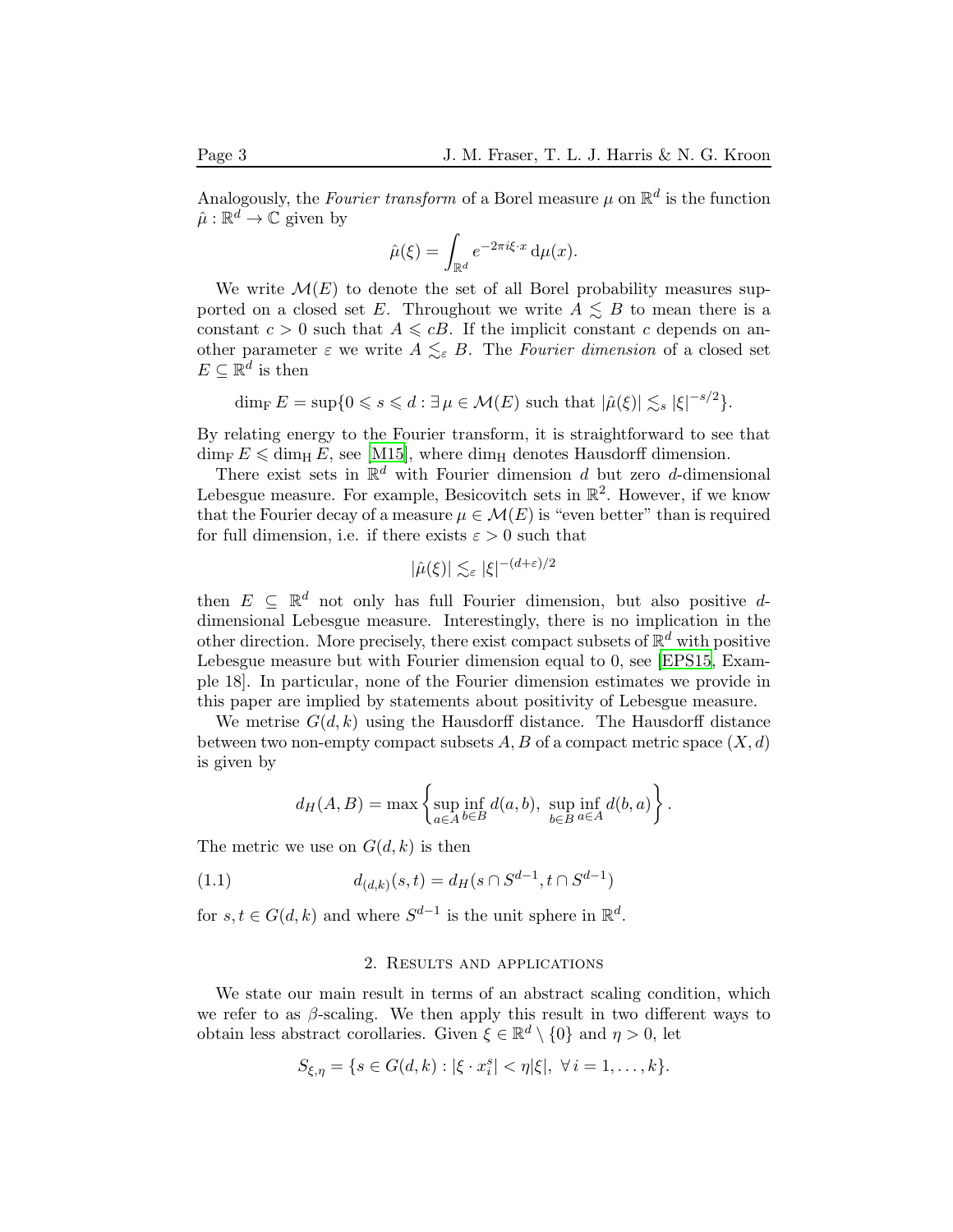Analogously, the Fourier transform of a Borel measure  $\mu$  on  $\mathbb{R}^d$  is the function  $\hat{\mu}: \mathbb{R}^d \to \mathbb{C}$  given by

$$
\hat{\mu}(\xi) = \int_{\mathbb{R}^d} e^{-2\pi i \xi \cdot x} \, \mathrm{d}\mu(x).
$$

We write  $\mathcal{M}(E)$  to denote the set of all Borel probability measures supported on a closed set E. Throughout we write  $A \leq B$  to mean there is a constant  $c > 0$  such that  $A \leq cB$ . If the implicit constant c depends on another parameter  $\varepsilon$  we write  $A \leq_{\varepsilon} B$ . The Fourier dimension of a closed set  $E \subseteq \mathbb{R}^d$  is then

$$
\dim_{\mathrm{F}} E = \sup \{ 0 \leq s \leq d : \exists \, \mu \in \mathcal{M}(E) \text{ such that } |\hat{\mu}(\xi)| \lesssim_s |\xi|^{-s/2} \}.
$$

By relating energy to the Fourier transform, it is straightforward to see that  $\dim_{\text{F}} E \leq \dim_{\text{H}} E$ , see [\[M15\]](#page-12-7), where  $\dim_{\text{H}}$  denotes Hausdorff dimension.

There exist sets in  $\mathbb{R}^d$  with Fourier dimension d but zero d-dimensional Lebesgue measure. For example, Besicovitch sets in  $\mathbb{R}^2$ . However, if we know that the Fourier decay of a measure  $\mu \in \mathcal{M}(E)$  is "even better" than is required for full dimension, i.e. if there exists  $\varepsilon > 0$  such that

$$
|\widehat{\mu}(\xi)|\lesssim_\varepsilon |\xi|^{-(d+\varepsilon)/2}
$$

then  $E \subseteq \mathbb{R}^d$  not only has full Fourier dimension, but also positive ddimensional Lebesgue measure. Interestingly, there is no implication in the other direction. More precisely, there exist compact subsets of  $\mathbb{R}^d$  with positive Lebesgue measure but with Fourier dimension equal to 0, see [\[EPS15](#page-12-11), Example 18]. In particular, none of the Fourier dimension estimates we provide in this paper are implied by statements about positivity of Lebesgue measure.

We metrise  $G(d, k)$  using the Hausdorff distance. The Hausdorff distance between two non-empty compact subsets  $A, B$  of a compact metric space  $(X, d)$ is given by

$$
d_H(A, B) = \max \left\{ \sup_{a \in A} \inf_{b \in B} d(a, b), \sup_{b \in B} \inf_{a \in A} d(b, a) \right\}.
$$

The metric we use on  $G(d, k)$  is then

<span id="page-2-0"></span>(1.1) 
$$
d_{(d,k)}(s,t) = d_H(s \cap S^{d-1}, t \cap S^{d-1})
$$

for  $s, t \in G(d, k)$  and where  $S^{d-1}$  is the unit sphere in  $\mathbb{R}^d$ .

### 2. Results and applications

We state our main result in terms of an abstract scaling condition, which we refer to as  $\beta$ -scaling. We then apply this result in two different ways to obtain less abstract corollaries. Given  $\xi \in \mathbb{R}^d \setminus \{0\}$  and  $\eta > 0$ , let

$$
S_{\xi,\eta} = \{s \in G(d,k) : |\xi \cdot x_i^s| < \eta|\xi|, \ \forall \, i = 1,\ldots,k\}.
$$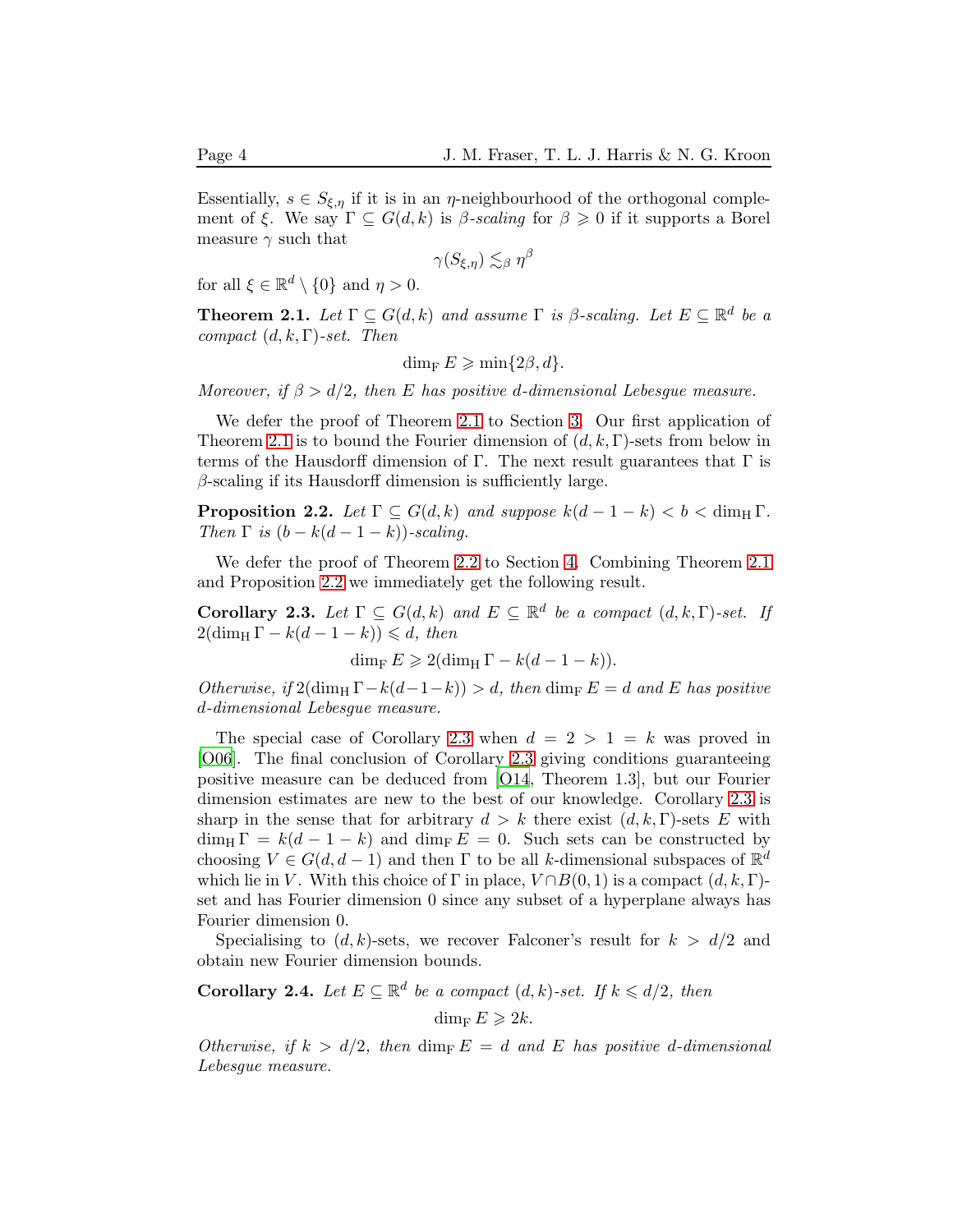Essentially,  $s \in S_{\xi,\eta}$  if it is in an  $\eta$ -neighbourhood of the orthogonal complement of ξ. We say  $\Gamma \subseteq G(d,k)$  is β-scaling for  $\beta \geq 0$  if it supports a Borel measure  $\gamma$  such that

$$
\gamma(S_{\xi,\eta})\lesssim_{\beta}\eta^{\beta}
$$

for all  $\xi \in \mathbb{R}^d \setminus \{0\}$  and  $\eta > 0$ .

<span id="page-3-0"></span>**Theorem 2.1.** Let  $\Gamma \subseteq G(d,k)$  and assume  $\Gamma$  is  $\beta$ -scaling. Let  $E \subseteq \mathbb{R}^d$  be a compact  $(d, k, \Gamma)$ -set. Then

$$
\dim_{\mathrm{F}} E \geqslant \min\{2\beta, d\}.
$$

Moreover, if  $\beta > d/2$ , then E has positive d-dimensional Lebesgue measure.

We defer the proof of Theorem [2.1](#page-3-0) to Section [3.](#page-5-0) Our first application of Theorem [2.1](#page-3-0) is to bound the Fourier dimension of  $(d, k, \Gamma)$ -sets from below in terms of the Hausdorff dimension of Γ. The next result guarantees that  $\Gamma$  is  $\beta$ -scaling if its Hausdorff dimension is sufficiently large.

<span id="page-3-1"></span>**Proposition 2.2.** Let  $\Gamma \subseteq G(d,k)$  and suppose  $k(d-1-k) < b < \dim_{\text{H}} \Gamma$ . Then  $\Gamma$  is  $(b - k(d - 1 - k))$ -scaling.

We defer the proof of Theorem [2.2](#page-3-1) to Section [4.](#page-7-0) Combining Theorem [2.1](#page-3-0) and Proposition [2.2](#page-3-1) we immediately get the following result.

<span id="page-3-2"></span>Corollary 2.3. Let  $\Gamma \subseteq G(d,k)$  and  $E \subseteq \mathbb{R}^d$  be a compact  $(d,k,\Gamma)$ -set. If  $2(\dim_{\mathrm{H}} \Gamma - k(d-1-k)) \leq d$ , then

 $\dim_{\mathrm{F}} E \geqslant 2(\dim_{\mathrm{H}} \Gamma - k(d-1-k)).$ 

Otherwise, if  $2(\dim_{\text{H}} \Gamma - k(d-1-k)) > d$ , then  $\dim_{\text{F}} E = d$  and E has positive d-dimensional Lebesgue measure.

The special case of Corollary [2.3](#page-3-2) when  $d = 2 > 1 = k$  was proved in [\[O06](#page-12-3)]. The final conclusion of Corollary [2.3](#page-3-2) giving conditions guaranteeing positive measure can be deduced from [\[O14](#page-12-10), Theorem 1.3], but our Fourier dimension estimates are new to the best of our knowledge. Corollary [2.3](#page-3-2) is sharp in the sense that for arbitrary  $d > k$  there exist  $(d, k, \Gamma)$ -sets E with  $\dim_{\text{H}} \Gamma = k(d-1-k)$  and  $\dim_{\text{F}} E = 0$ . Such sets can be constructed by choosing  $V \in G(d, d-1)$  and then  $\Gamma$  to be all k-dimensional subspaces of  $\mathbb{R}^d$ which lie in V. With this choice of  $\Gamma$  in place,  $V \cap B(0, 1)$  is a compact  $(d, k, \Gamma)$ set and has Fourier dimension 0 since any subset of a hyperplane always has Fourier dimension 0.

Specialising to  $(d, k)$ -sets, we recover Falconer's result for  $k > d/2$  and obtain new Fourier dimension bounds.

<span id="page-3-3"></span>**Corollary 2.4.** Let  $E \subseteq \mathbb{R}^d$  be a compact  $(d, k)$ -set. If  $k \leq d/2$ , then

dim<sub>F</sub>  $E \geqslant 2k$ .

Otherwise, if  $k > d/2$ , then dim<sub>F</sub>  $E = d$  and E has positive d-dimensional Lebesgue measure.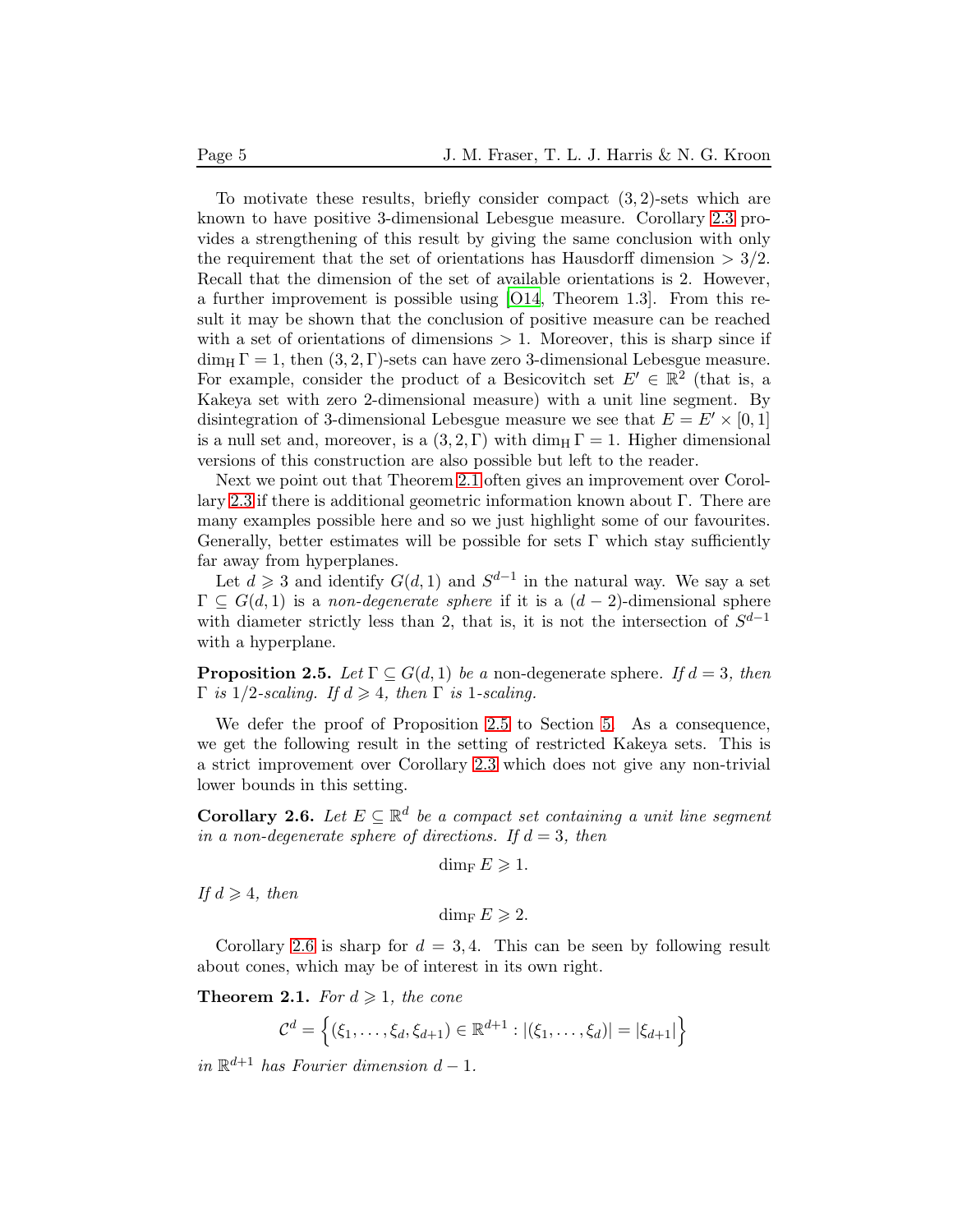To motivate these results, briefly consider compact  $(3, 2)$ -sets which are known to have positive 3-dimensional Lebesgue measure. Corollary [2.3](#page-3-2) provides a strengthening of this result by giving the same conclusion with only the requirement that the set of orientations has Hausdorff dimension  $> 3/2$ . Recall that the dimension of the set of available orientations is 2. However, a further improvement is possible using [\[O14](#page-12-10), Theorem 1.3]. From this result it may be shown that the conclusion of positive measure can be reached with a set of orientations of dimensions  $> 1$ . Moreover, this is sharp since if dim<sub>H</sub>  $\Gamma = 1$ , then  $(3, 2, \Gamma)$ -sets can have zero 3-dimensional Lebesgue measure. For example, consider the product of a Besicovitch set  $E' \in \mathbb{R}^2$  (that is, a Kakeya set with zero 2-dimensional measure) with a unit line segment. By disintegration of 3-dimensional Lebesgue measure we see that  $E = E' \times [0, 1]$ is a null set and, moreover, is a  $(3, 2, \Gamma)$  with dim<sub>H</sub>  $\Gamma = 1$ . Higher dimensional versions of this construction are also possible but left to the reader.

Next we point out that Theorem [2.1](#page-3-0) often gives an improvement over Corollary [2.3](#page-3-2) if there is additional geometric information known about Γ. There are many examples possible here and so we just highlight some of our favourites. Generally, better estimates will be possible for sets  $\Gamma$  which stay sufficiently far away from hyperplanes.

Let  $d \geq 3$  and identify  $G(d, 1)$  and  $S^{d-1}$  in the natural way. We say a set  $\Gamma \subset G(d,1)$  is a non-degenerate sphere if it is a  $(d-2)$ -dimensional sphere with diameter strictly less than 2, that is, it is not the intersection of  $S^{d-1}$ with a hyperplane.

<span id="page-4-0"></span>**Proposition 2.5.** Let  $\Gamma \subseteq G(d, 1)$  be a non-degenerate sphere. If  $d = 3$ , then  $\Gamma$  is 1/2-scaling. If  $d \geq 4$ , then  $\Gamma$  is 1-scaling.

We defer the proof of Proposition [2.5](#page-4-0) to Section [5.](#page-8-0) As a consequence, we get the following result in the setting of restricted Kakeya sets. This is a strict improvement over Corollary [2.3](#page-3-2) which does not give any non-trivial lower bounds in this setting.

<span id="page-4-1"></span>**Corollary 2.6.** Let  $E \subseteq \mathbb{R}^d$  be a compact set containing a unit line segment in a non-degenerate sphere of directions. If  $d = 3$ , then

$$
\dim_{\mathrm{F}} E \geqslant 1.
$$

If  $d \geqslant 4$ , then

$$
\dim_{\mathrm{F}} E \geqslant 2.
$$

Corollary [2.6](#page-4-1) is sharp for  $d = 3, 4$ . This can be seen by following result about cones, which may be of interest in its own right.

<span id="page-4-2"></span>**Theorem 2.1.** For  $d \geq 1$ , the cone

$$
\mathcal{C}^d = \left\{ (\xi_1, \ldots, \xi_d, \xi_{d+1}) \in \mathbb{R}^{d+1} : |(\xi_1, \ldots, \xi_d)| = |\xi_{d+1}| \right\}
$$

in  $\mathbb{R}^{d+1}$  has Fourier dimension  $d-1$ .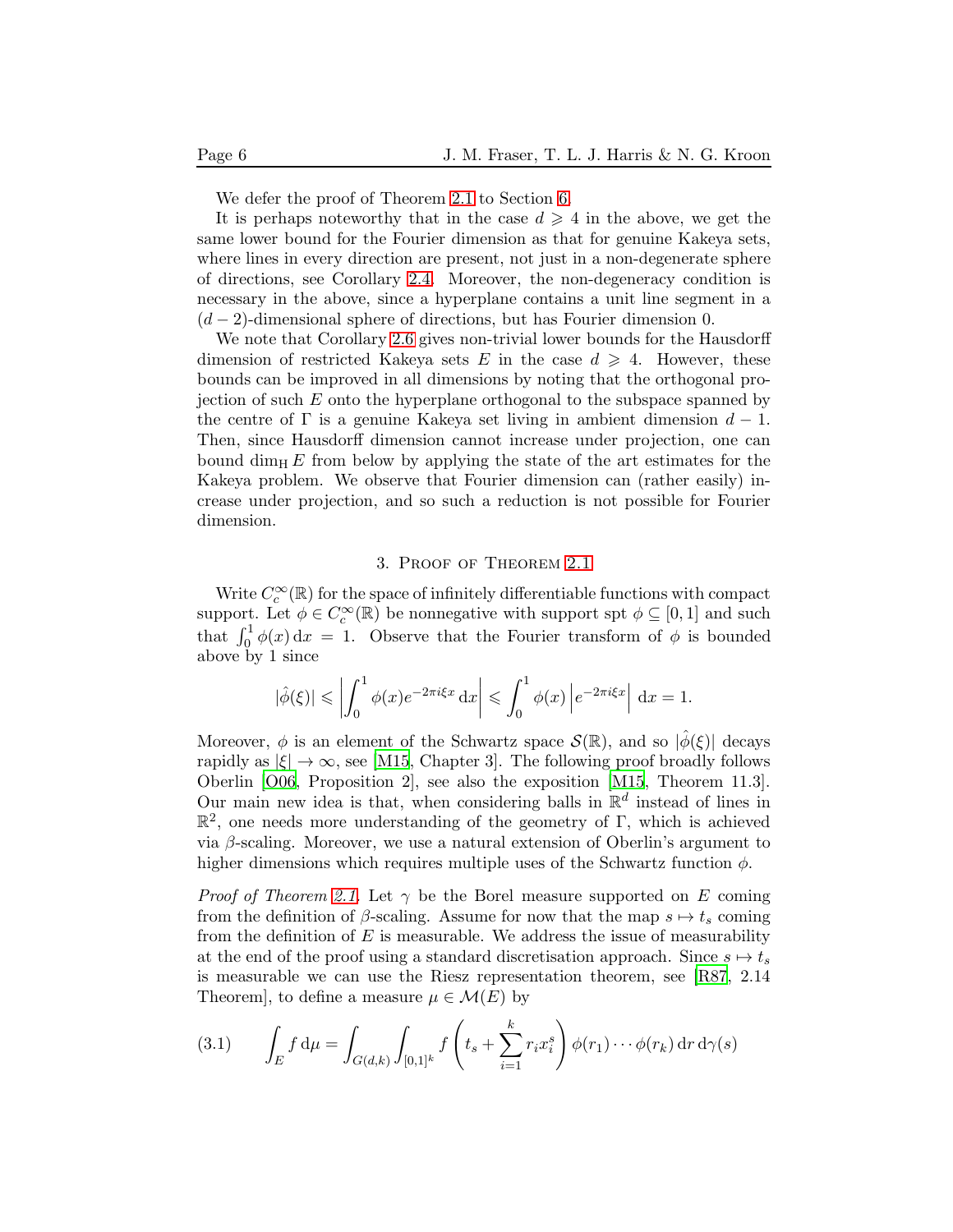We defer the proof of Theorem [2.1](#page-4-2) to Section [6.](#page-9-0)

It is perhaps noteworthy that in the case  $d \geq 4$  in the above, we get the same lower bound for the Fourier dimension as that for genuine Kakeya sets, where lines in every direction are present, not just in a non-degenerate sphere of directions, see Corollary [2.4.](#page-3-3) Moreover, the non-degeneracy condition is necessary in the above, since a hyperplane contains a unit line segment in a  $(d-2)$ -dimensional sphere of directions, but has Fourier dimension 0.

We note that Corollary [2.6](#page-4-1) gives non-trivial lower bounds for the Hausdorff dimension of restricted Kakeya sets E in the case  $d \geq 4$ . However, these bounds can be improved in all dimensions by noting that the orthogonal projection of such  $E$  onto the hyperplane orthogonal to the subspace spanned by the centre of  $\Gamma$  is a genuine Kakeya set living in ambient dimension  $d-1$ . Then, since Hausdorff dimension cannot increase under projection, one can bound dim<sub>H</sub> E from below by applying the state of the art estimates for the Kakeya problem. We observe that Fourier dimension can (rather easily) increase under projection, and so such a reduction is not possible for Fourier dimension.

#### 3. Proof of Theorem [2.1](#page-3-0)

<span id="page-5-0"></span>Write  $C_c^{\infty}(\mathbb{R})$  for the space of infinitely differentiable functions with compact support. Let  $\phi \in C_c^{\infty}(\mathbb{R})$  be nonnegative with support spt  $\phi \subseteq [0,1]$  and such that  $\int_0^1 \phi(x) dx = 1$ . Observe that the Fourier transform of  $\phi$  is bounded above by 1 since

$$
|\hat{\phi}(\xi)| \leq \left| \int_0^1 \phi(x) e^{-2\pi i \xi x} dx \right| \leq \int_0^1 \phi(x) \left| e^{-2\pi i \xi x} \right| dx = 1.
$$

Moreover,  $\phi$  is an element of the Schwartz space  $\mathcal{S}(\mathbb{R})$ , and so  $|\hat{\phi}(\xi)|$  decays rapidly as  $|\xi| \to \infty$ , see [\[M15](#page-12-7), Chapter 3]. The following proof broadly follows Oberlin [\[O06](#page-12-3), Proposition 2], see also the exposition [\[M15](#page-12-7), Theorem 11.3]. Our main new idea is that, when considering balls in  $\mathbb{R}^d$  instead of lines in  $\mathbb{R}^2$ , one needs more understanding of the geometry of Γ, which is achieved via β-scaling. Moreover, we use a natural extension of Oberlin's argument to higher dimensions which requires multiple uses of the Schwartz function  $\phi$ .

*Proof of Theorem [2.1.](#page-3-0)* Let  $\gamma$  be the Borel measure supported on E coming from the definition of  $\beta$ -scaling. Assume for now that the map  $s \mapsto t_s$  coming from the definition of  $E$  is measurable. We address the issue of measurability at the end of the proof using a standard discretisation approach. Since  $s \mapsto t_s$ is measurable we can use the Riesz representation theorem, see [\[R87](#page-12-12), 2.14 Theorem], to define a measure  $\mu \in \mathcal{M}(E)$  by

<span id="page-5-1"></span>(3.1) 
$$
\int_{E} f d\mu = \int_{G(d,k)} \int_{[0,1]^{k}} f\left(t_{s} + \sum_{i=1}^{k} r_{i} x_{i}^{s}\right) \phi(r_{1}) \cdots \phi(r_{k}) dr d\gamma(s)
$$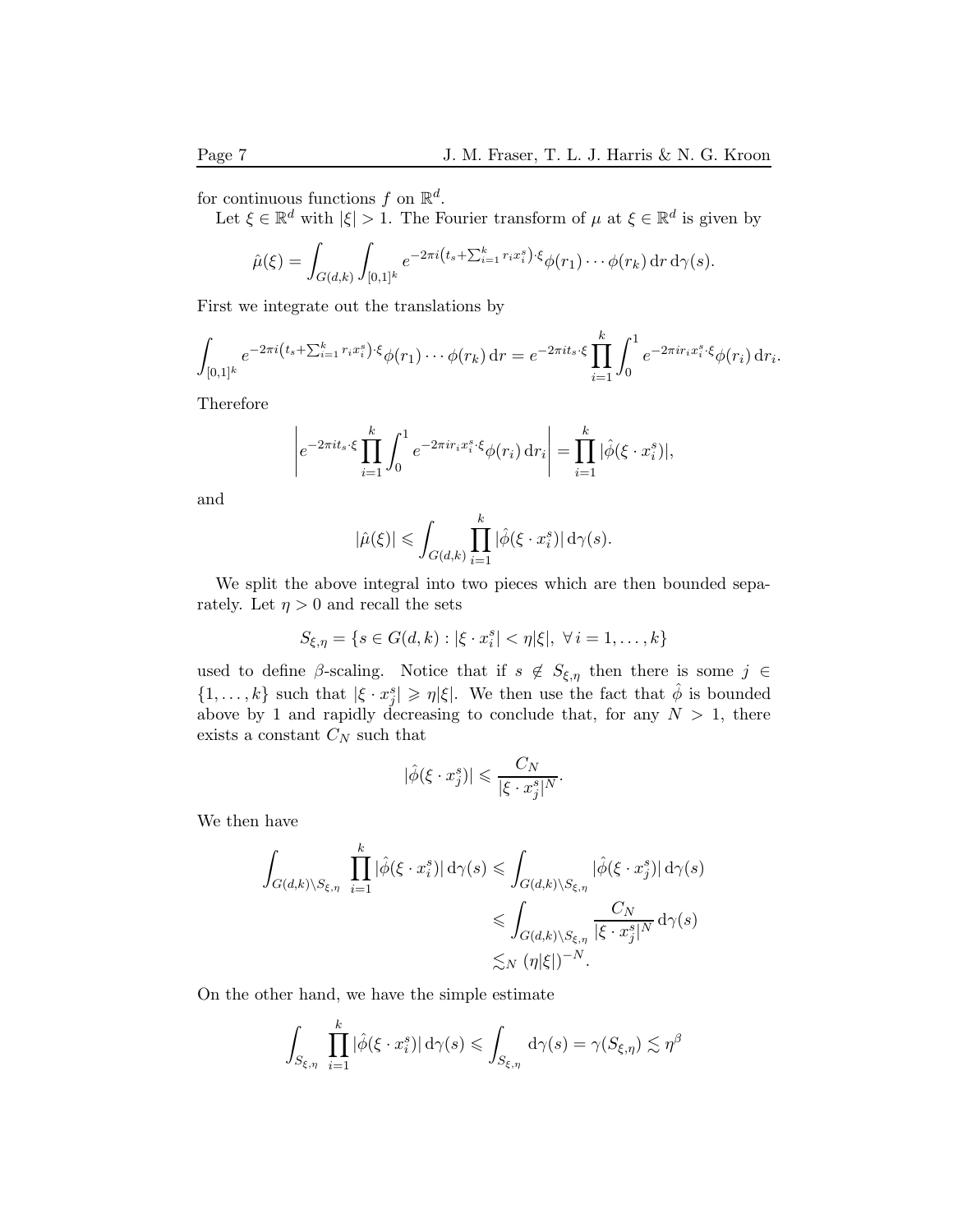for continuous functions f on  $\mathbb{R}^d$ .

Let  $\xi \in \mathbb{R}^d$  with  $|\xi| > 1$ . The Fourier transform of  $\mu$  at  $\xi \in \mathbb{R}^d$  is given by

$$
\hat{\mu}(\xi) = \int_{G(d,k)} \int_{[0,1]^k} e^{-2\pi i \left( t_s + \sum_{i=1}^k r_i x_i^s \right) \cdot \xi} \phi(r_1) \cdots \phi(r_k) \, dr \, d\gamma(s).
$$

First we integrate out the translations by

$$
\int_{[0,1]^k} e^{-2\pi i \left(t_s + \sum_{i=1}^k r_i x_i^s\right) \cdot \xi} \phi(r_1) \cdots \phi(r_k) \, dr = e^{-2\pi i t_s \cdot \xi} \prod_{i=1}^k \int_0^1 e^{-2\pi i r_i x_i^s \cdot \xi} \phi(r_i) \, dr_i.
$$

Therefore

$$
\left| e^{-2\pi i t_s \cdot \xi} \prod_{i=1}^k \int_0^1 e^{-2\pi i r_i x_i^s \cdot \xi} \phi(r_i) dr_i \right| = \prod_{i=1}^k |\hat{\phi}(\xi \cdot x_i^s)|,
$$

and

$$
|\hat{\mu}(\xi)| \leqslant \int_{G(d,k)} \prod_{i=1}^k |\hat{\phi}(\xi \cdot x_i^s)| \, \mathrm{d}\gamma(s).
$$

We split the above integral into two pieces which are then bounded separately. Let  $\eta > 0$  and recall the sets

$$
S_{\xi,\eta} = \{ s \in G(d,k) : |\xi \cdot x_i^s| < \eta |\xi|, \ \forall \, i = 1,\ldots,k \}
$$

used to define β-scaling. Notice that if  $s \notin S_{\xi,\eta}$  then there is some  $j \in \mathcal{E}$  $\{1,\ldots,k\}$  such that  $|\xi \cdot x_j^s| \geqslant \eta |\xi|$ . We then use the fact that  $\hat{\phi}$  is bounded above by 1 and rapidly decreasing to conclude that, for any  $N > 1$ , there exists a constant  $C_N$  such that

$$
|\hat{\phi}(\xi \cdot x_j^s)| \leqslant \frac{C_N}{|\xi \cdot x_j^s|^N}.
$$

We then have

$$
\int_{G(d,k)\backslash S_{\xi,\eta}} \prod_{i=1}^k |\hat{\phi}(\xi \cdot x_i^s)| \,d\gamma(s) \leq \int_{G(d,k)\backslash S_{\xi,\eta}} |\hat{\phi}(\xi \cdot x_j^s)| \,d\gamma(s)
$$
  

$$
\leq \int_{G(d,k)\backslash S_{\xi,\eta}} \frac{C_N}{|\xi \cdot x_j^s|^N} \,d\gamma(s)
$$
  

$$
\lesssim_N (\eta|\xi|)^{-N}.
$$

On the other hand, we have the simple estimate

$$
\int_{S_{\xi,\eta}} \prod_{i=1}^k |\hat{\phi}(\xi \cdot x_i^s)| \,d\gamma(s) \leq \int_{S_{\xi,\eta}} \,d\gamma(s) = \gamma(S_{\xi,\eta}) \lesssim \eta^{\beta}
$$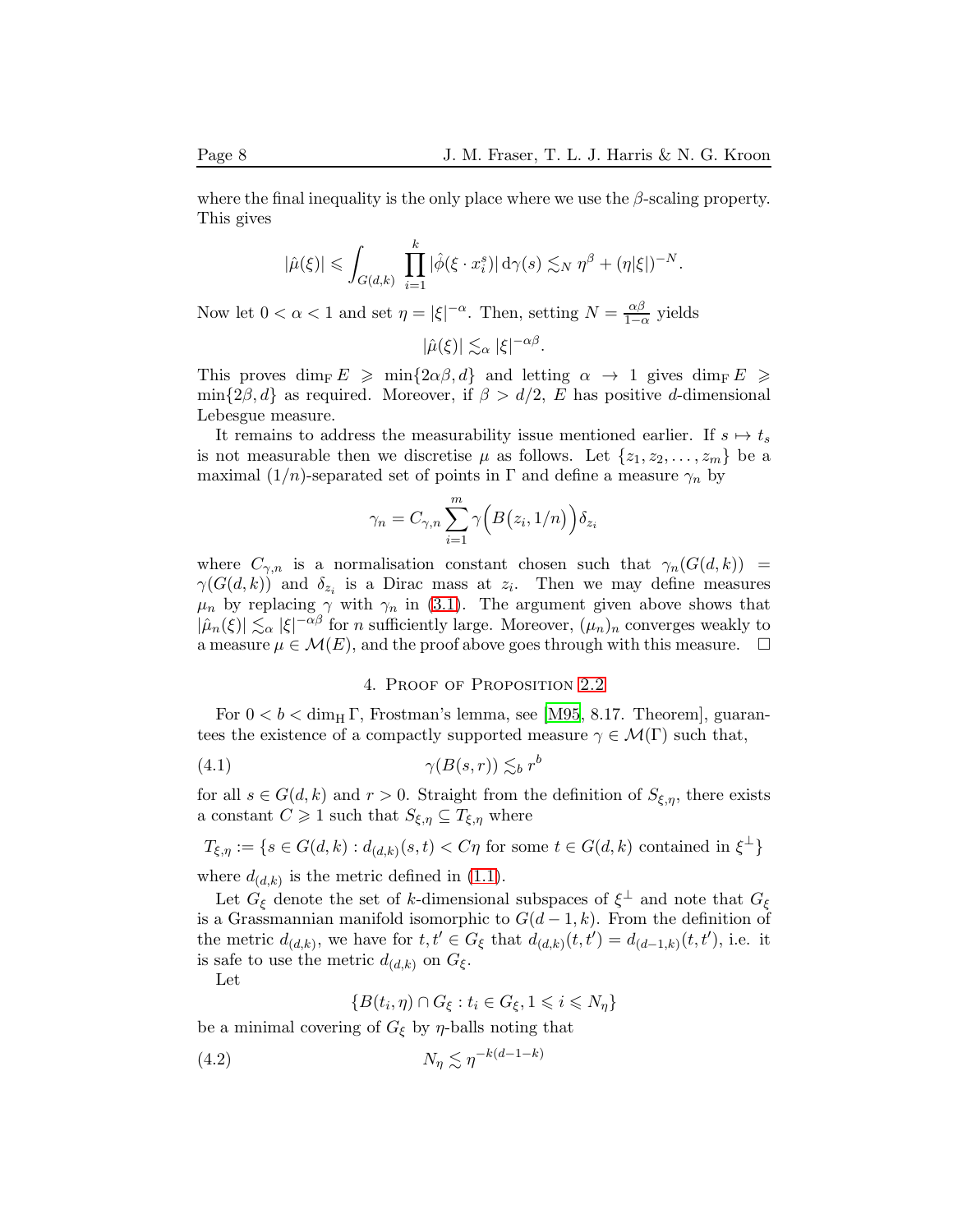where the final inequality is the only place where we use the  $\beta$ -scaling property. This gives

$$
|\hat{\mu}(\xi)| \leqslant \int_{G(d,k)} \prod_{i=1}^k |\hat{\phi}(\xi \cdot x_i^s)| \, \mathrm{d}\gamma(s) \lesssim_N \eta^{\beta} + (\eta|\xi|)^{-N}.
$$

Now let  $0 < \alpha < 1$  and set  $\eta = |\xi|^{-\alpha}$ . Then, setting  $N = \frac{\alpha \beta}{1 - \alpha}$  $\frac{\alpha \rho}{1-\alpha}$  yields

 $|\hat{\mu}(\xi)| \lesssim_{\alpha} |\xi|^{-\alpha\beta}.$ 

This proves dim<sub>F</sub>  $E \ge \min\{2\alpha\beta, d\}$  and letting  $\alpha \to 1$  gives dim<sub>F</sub>  $E \ge$  $\min\{2\beta, d\}$  as required. Moreover, if  $\beta > d/2$ , E has positive d-dimensional Lebesgue measure.

It remains to address the measurability issue mentioned earlier. If  $s \mapsto t_s$ is not measurable then we discretise  $\mu$  as follows. Let  $\{z_1, z_2, \ldots, z_m\}$  be a maximal  $(1/n)$ -separated set of points in  $\Gamma$  and define a measure  $\gamma_n$  by

$$
\gamma_n = C_{\gamma,n} \sum_{i=1}^m \gamma \Big( B(z_i, 1/n) \Big) \delta_{z_i}
$$

where  $C_{\gamma,n}$  is a normalisation constant chosen such that  $\gamma_n(G(d, k))$  $\gamma(G(d, k))$  and  $\delta_{z_i}$  is a Dirac mass at  $z_i$ . Then we may define measures  $\mu_n$  by replacing  $\gamma$  with  $\gamma_n$  in [\(3.1\)](#page-5-1). The argument given above shows that  $|\hat{\mu}_n(\xi)| \lesssim_\alpha |\xi|^{-\alpha\beta}$  for n sufficiently large. Moreover,  $(\mu_n)_n$  converges weakly to a measure  $\mu \in \mathcal{M}(E)$ , and the proof above goes through with this measure.  $\Box$ 

## 4. Proof of Proposition [2.2](#page-3-1)

<span id="page-7-0"></span>For  $0 < b < \dim_{\text{H}} \Gamma$ , Frostman's lemma, see [\[M95](#page-12-9), 8.17. Theorem], guarantees the existence of a compactly supported measure  $\gamma \in \mathcal{M}(\Gamma)$  such that,

<span id="page-7-1"></span>
$$
(4.1) \qquad \qquad \gamma(B(s,r)) \lesssim_b r^b
$$

for all  $s \in G(d, k)$  and  $r > 0$ . Straight from the definition of  $S_{\xi, \eta}$ , there exists a constant  $C \geq 1$  such that  $S_{\xi,\eta} \subseteq T_{\xi,\eta}$  where

$$
T_{\xi,\eta} := \{ s \in G(d,k) : d_{(d,k)}(s,t) < C\eta \text{ for some } t \in G(d,k) \text{ contained in } \xi^{\perp} \}
$$
\nwhere  $d_{(d,k)}$  is the metric defined in (1.1).

Let  $G_{\xi}$  denote the set of k-dimensional subspaces of  $\xi^{\perp}$  and note that  $G_{\xi}$ is a Grassmannian manifold isomorphic to  $G(d-1, k)$ . From the definition of the metric  $d_{(d,k)}$ , we have for  $t, t' \in G_{\xi}$  that  $d_{(d,k)}(t, t') = d_{(d-1,k)}(t, t')$ , i.e. it is safe to use the metric  $d_{(d,k)}$  on  $G_{\xi}$ .

Let

$$
\{B(t_i, \eta) \cap G_{\xi} : t_i \in G_{\xi}, 1 \leq i \leq N_{\eta}\}\
$$

be a minimal covering of  $G_{\xi}$  by  $\eta$ -balls noting that

<span id="page-7-2"></span>
$$
(4.2) \t\t N_{\eta} \lesssim \eta^{-k(d-1-k)}
$$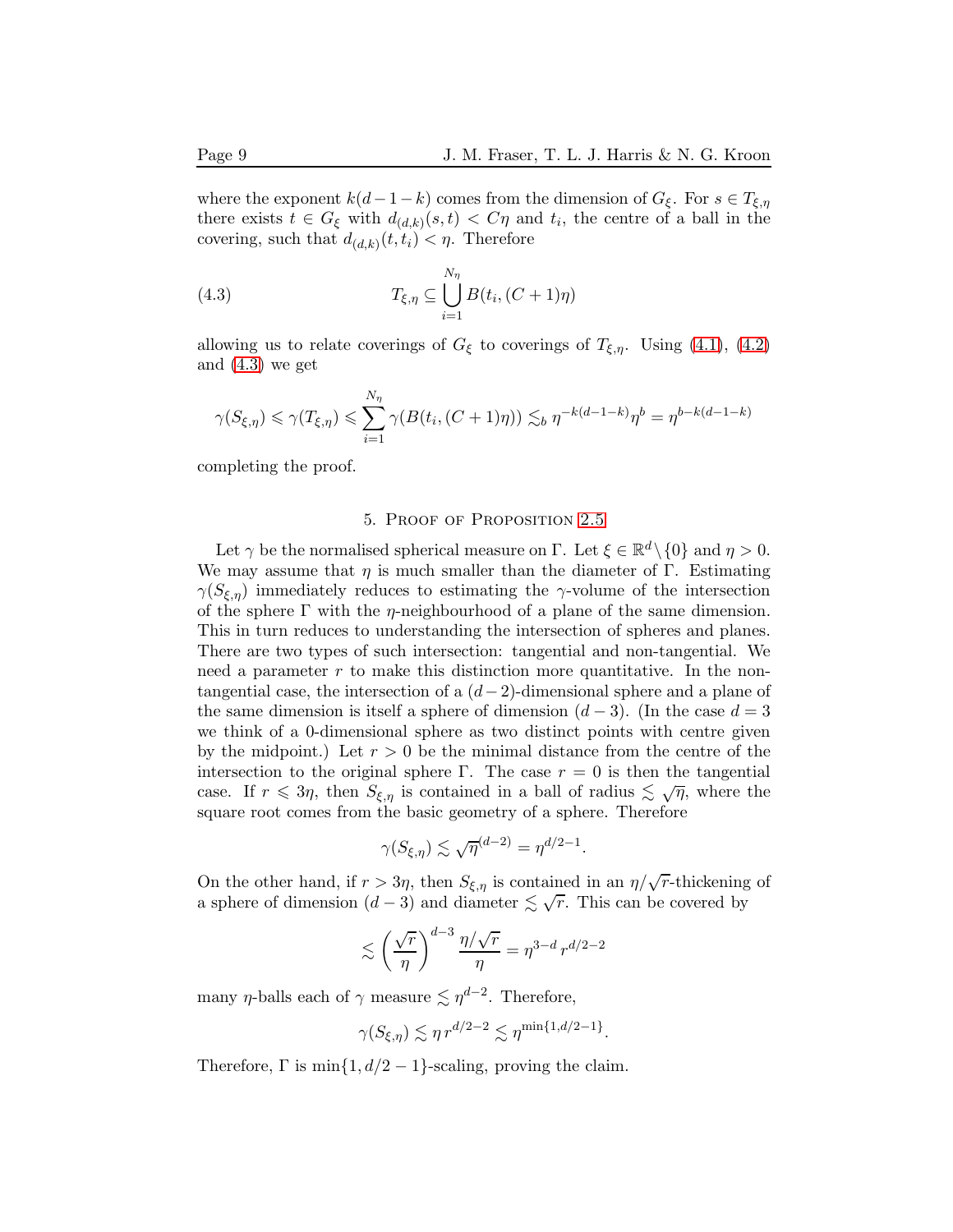where the exponent  $k(d-1-k)$  comes from the dimension of  $G_{\xi}$ . For  $s \in T_{\xi,\eta}$ there exists  $t \in G_{\xi}$  with  $d_{(d,k)}(s,t) < C\eta$  and  $t_i$ , the centre of a ball in the covering, such that  $d_{(d,k)}(t,t_i) < \eta$ . Therefore

<span id="page-8-1"></span>(4.3) 
$$
T_{\xi,\eta} \subseteq \bigcup_{i=1}^{N_{\eta}} B(t_i, (C+1)\eta)
$$

allowing us to relate coverings of  $G_{\xi}$  to coverings of  $T_{\xi,\eta}$ . Using [\(4.1\)](#page-7-1), [\(4.2\)](#page-7-2) and [\(4.3\)](#page-8-1) we get

$$
\gamma(S_{\xi,\eta}) \leq \gamma(T_{\xi,\eta}) \leq \sum_{i=1}^{N_{\eta}} \gamma(B(t_i,(C+1)\eta)) \lesssim_b \eta^{-k(d-1-k)}\eta^b = \eta^{b-k(d-1-k)}
$$

<span id="page-8-0"></span>completing the proof.

### 5. Proof of Proposition [2.5](#page-4-0)

Let  $\gamma$  be the normalised spherical measure on  $\Gamma$ . Let  $\xi \in \mathbb{R}^d \setminus \{0\}$  and  $\eta > 0$ . We may assume that  $\eta$  is much smaller than the diameter of Γ. Estimating  $\gamma(S_{\xi,\eta})$  immediately reduces to estimating the γ-volume of the intersection of the sphere  $\Gamma$  with the  $\eta$ -neighbourhood of a plane of the same dimension. This in turn reduces to understanding the intersection of spheres and planes. There are two types of such intersection: tangential and non-tangential. We need a parameter  $r$  to make this distinction more quantitative. In the nontangential case, the intersection of a  $(d-2)$ -dimensional sphere and a plane of the same dimension is itself a sphere of dimension  $(d-3)$ . (In the case  $d=3$ we think of a 0-dimensional sphere as two distinct points with centre given by the midpoint.) Let  $r > 0$  be the minimal distance from the centre of the intersection to the original sphere Γ. The case  $r = 0$  is then the tangential case. If  $r \leq 3\eta$ , then  $S_{\xi,\eta}$  is contained in a ball of radius  $\lesssim \sqrt{\eta}$ , where the square root comes from the basic geometry of a sphere. Therefore

$$
\gamma(S_{\xi,\eta}) \lesssim \sqrt{\eta}^{(d-2)} = \eta^{d/2-1}.
$$

On the other hand, if  $r > 3\eta$ , then  $S_{\xi,\eta}$  is contained in an  $\eta/\sqrt{r}$ -thickening of a sphere of dimension  $(d-3)$  and diameter  $\lesssim \sqrt{r}$ . This can be covered by

$$
\lesssim \left(\frac{\sqrt{r}}{\eta}\right)^{d-3} \frac{\eta/\sqrt{r}}{\eta} = \eta^{3-d} r^{d/2-2}
$$

many  $\eta$ -balls each of  $\gamma$  measure  $\lesssim \eta^{d-2}$ . Therefore,

$$
\gamma(S_{\xi,\eta}) \lesssim \eta\,r^{d/2-2} \lesssim \eta^{\min\{1,d/2-1\}}.
$$

Therefore,  $\Gamma$  is  $\min\{1, d/2 - 1\}$ -scaling, proving the claim.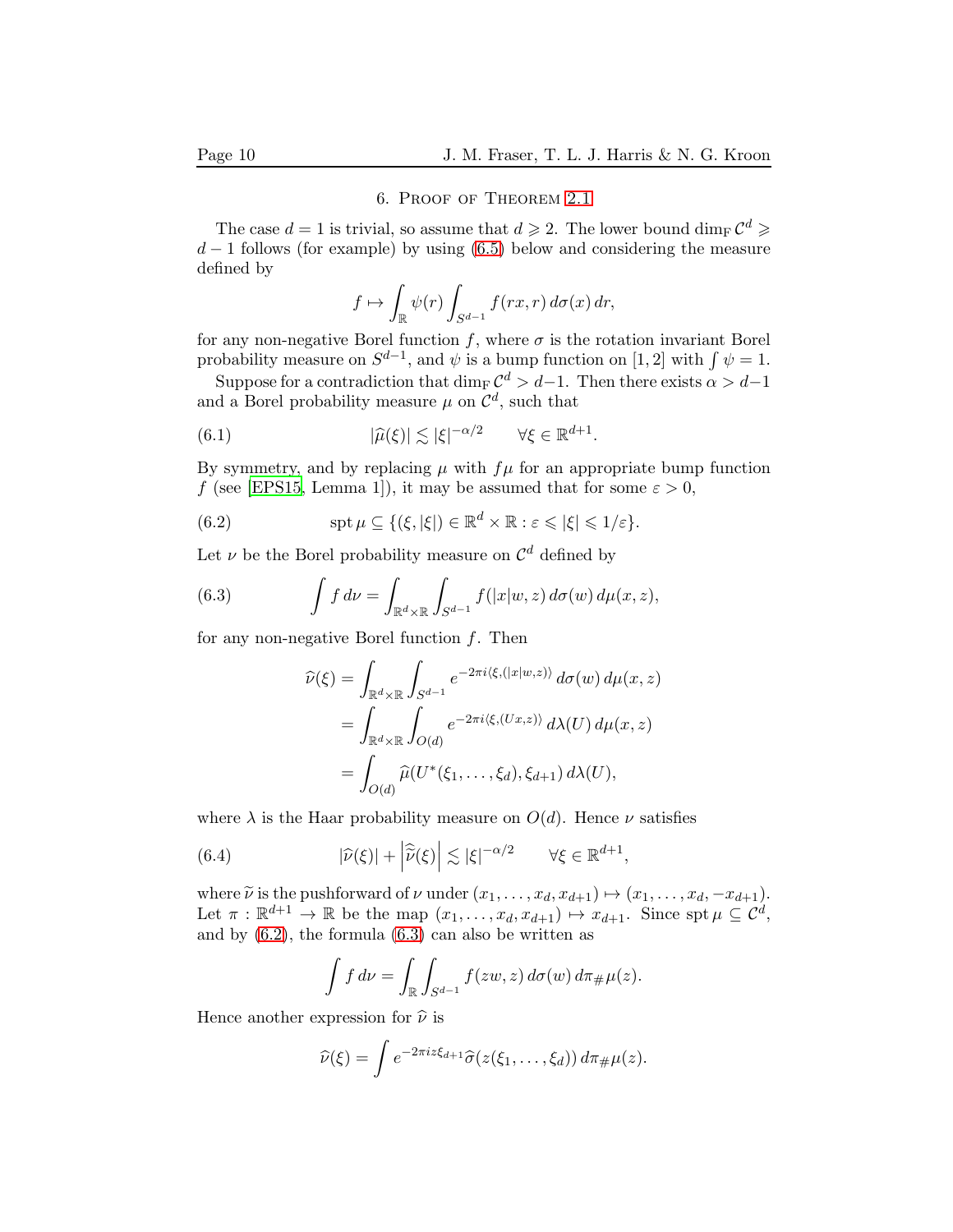### 6. Proof of Theorem [2.1](#page-4-2)

<span id="page-9-0"></span>The case  $d = 1$  is trivial, so assume that  $d \geqslant 2$ . The lower bound  $\dim_{\mathrm{F}} C^d \geqslant$  $d-1$  follows (for example) by using [\(6.5\)](#page-10-0) below and considering the measure defined by

<span id="page-9-4"></span>
$$
f \mapsto \int_{\mathbb{R}} \psi(r) \int_{S^{d-1}} f(rx, r) \, d\sigma(x) \, dr,
$$

for any non-negative Borel function f, where  $\sigma$  is the rotation invariant Borel probability measure on  $S^{d-1}$ , and  $\psi$  is a bump function on [1, 2] with  $\int \psi = 1$ .

Suppose for a contradiction that  $\dim_{\mathbb{F}} \mathcal{C}^d > d-1$ . Then there exists  $\alpha > d-1$ and a Borel probability measure  $\mu$  on  $\mathcal{C}^d$ , such that

(6.1) 
$$
|\widehat{\mu}(\xi)| \lesssim |\xi|^{-\alpha/2} \qquad \forall \xi \in \mathbb{R}^{d+1}.
$$

By symmetry, and by replacing  $\mu$  with  $f\mu$  for an appropriate bump function f (see [\[EPS15,](#page-12-11) Lemma 1]), it may be assumed that for some  $\varepsilon > 0$ ,

<span id="page-9-1"></span>(6.2) 
$$
\operatorname{spt} \mu \subseteq \{(\xi, |\xi|) \in \mathbb{R}^d \times \mathbb{R} : \varepsilon \leq |\xi| \leq 1/\varepsilon\}.
$$

Let  $\nu$  be the Borel probability measure on  $\mathcal{C}^d$  defined by

(6.3) 
$$
\int f d\nu = \int_{\mathbb{R}^d \times \mathbb{R}} \int_{S^{d-1}} f(|x|w, z) d\sigma(w) d\mu(x, z),
$$

for any non-negative Borel function  $f$ . Then

<span id="page-9-2"></span>
$$
\widehat{\nu}(\xi) = \int_{\mathbb{R}^d \times \mathbb{R}} \int_{S^{d-1}} e^{-2\pi i \langle \xi, (|x|w,z) \rangle} d\sigma(w) d\mu(x,z)
$$

$$
= \int_{\mathbb{R}^d \times \mathbb{R}} \int_{O(d)} e^{-2\pi i \langle \xi, (Ux,z) \rangle} d\lambda(U) d\mu(x,z)
$$

$$
= \int_{O(d)} \widehat{\mu}(U^*(\xi_1, \dots, \xi_d), \xi_{d+1}) d\lambda(U),
$$

where  $\lambda$  is the Haar probability measure on  $O(d)$ . Hence  $\nu$  satisfies

(6.4) 
$$
|\widehat{\nu}(\xi)| + \left|\widehat{\widetilde{\nu}}(\xi)\right| \lesssim |\xi|^{-\alpha/2} \qquad \forall \xi \in \mathbb{R}^{d+1},
$$

where  $\tilde{\nu}$  is the pushforward of  $\nu$  under  $(x_1, \ldots, x_d, x_{d+1}) \mapsto (x_1, \ldots, x_d, -x_{d+1}).$ Let  $\pi : \mathbb{R}^{d+1} \to \mathbb{R}$  be the map  $(x_1, \ldots, x_d, x_{d+1}) \mapsto x_{d+1}$ . Since  $\text{spt } \mu \subseteq \mathcal{C}^d$ , and by [\(6.2\)](#page-9-1), the formula [\(6.3\)](#page-9-2) can also be written as

<span id="page-9-3"></span>
$$
\int f d\nu = \int_{\mathbb{R}} \int_{S^{d-1}} f(zw, z) d\sigma(w) d\pi_{\#}\mu(z).
$$

Hence another expression for  $\hat{\nu}$  is

$$
\widehat{\nu}(\xi) = \int e^{-2\pi i z \xi_{d+1}} \widehat{\sigma}(z(\xi_1,\ldots,\xi_d)) d\pi_{\#}\mu(z).
$$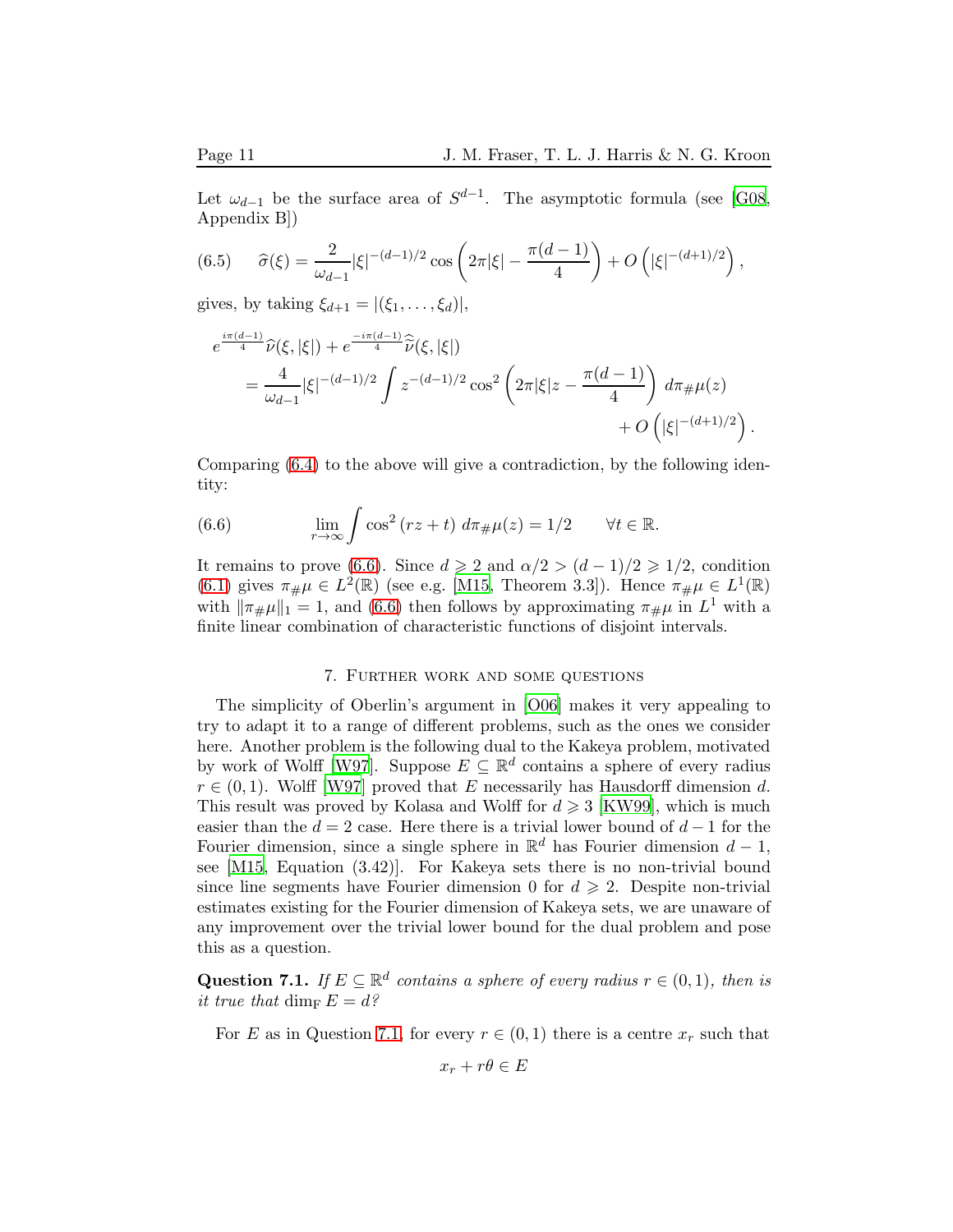Let  $\omega_{d-1}$  be the surface area of  $S^{d-1}$ . The asymptotic formula (see [\[G08](#page-12-13), Appendix B])

<span id="page-10-0"></span>(6.5) 
$$
\widehat{\sigma}(\xi) = \frac{2}{\omega_{d-1}} |\xi|^{-(d-1)/2} \cos \left( 2\pi |\xi| - \frac{\pi (d-1)}{4} \right) + O\left( |\xi|^{-(d+1)/2} \right),
$$

gives, by taking  $\xi_{d+1} = |(\xi_1, \ldots, \xi_d)|$ ,

$$
e^{\frac{i\pi(d-1)}{4}}\hat{\nu}(\xi,|\xi|) + e^{\frac{-i\pi(d-1)}{4}}\hat{\tilde{\nu}}(\xi,|\xi|)
$$
  
= 
$$
\frac{4}{\omega_{d-1}}|\xi|^{-(d-1)/2} \int z^{-(d-1)/2} \cos^2\left(2\pi|\xi|z - \frac{\pi(d-1)}{4}\right) d\pi_{\#}\mu(z) + O\left(|\xi|^{-(d+1)/2}\right).
$$

Comparing [\(6.4\)](#page-9-3) to the above will give a contradiction, by the following identity:

<span id="page-10-1"></span>(6.6) 
$$
\lim_{r \to \infty} \int \cos^2 (rz + t) d\pi_{\#}\mu(z) = 1/2 \quad \forall t \in \mathbb{R}.
$$

It remains to prove [\(6.6\)](#page-10-1). Since  $d \ge 2$  and  $\alpha/2 > (d-1)/2 \ge 1/2$ , condition [\(6.1\)](#page-9-4) gives  $\pi_{\#}\mu \in L^2(\mathbb{R})$  (see e.g. [\[M15,](#page-12-7) Theorem 3.3]). Hence  $\pi_{\#}\mu \in L^1(\mathbb{R})$ with  $\|\pi_{\#}\mu\|_1 = 1$ , and [\(6.6\)](#page-10-1) then follows by approximating  $\pi_{\#}\mu$  in  $L^1$  with a finite linear combination of characteristic functions of disjoint intervals.

## 7. Further work and some questions

The simplicity of Oberlin's argument in [\[O06](#page-12-3)] makes it very appealing to try to adapt it to a range of different problems, such as the ones we consider here. Another problem is the following dual to the Kakeya problem, motivated by work of Wolff [\[W97](#page-12-14)]. Suppose  $E \subseteq \mathbb{R}^d$  contains a sphere of every radius  $r \in (0,1)$ . Wolff [\[W97](#page-12-14)] proved that E necessarily has Hausdorff dimension d. This result was proved by Kolasa and Wolff for  $d \geq 3$  [\[KW99](#page-12-15)], which is much easier than the  $d = 2$  case. Here there is a trivial lower bound of  $d - 1$  for the Fourier dimension, since a single sphere in  $\mathbb{R}^d$  has Fourier dimension  $d-1$ , see [\[M15](#page-12-7), Equation (3.42)]. For Kakeya sets there is no non-trivial bound since line segments have Fourier dimension 0 for  $d \geq 2$ . Despite non-trivial estimates existing for the Fourier dimension of Kakeya sets, we are unaware of any improvement over the trivial lower bound for the dual problem and pose this as a question.

<span id="page-10-2"></span>Question 7.1. If  $E \subseteq \mathbb{R}^d$  contains a sphere of every radius  $r \in (0,1)$ , then is it true that dim<sub>F</sub>  $E = d$ ?

For E as in Question [7.1,](#page-10-2) for every  $r \in (0,1)$  there is a centre  $x_r$  such that

$$
x_r + r\theta \in E
$$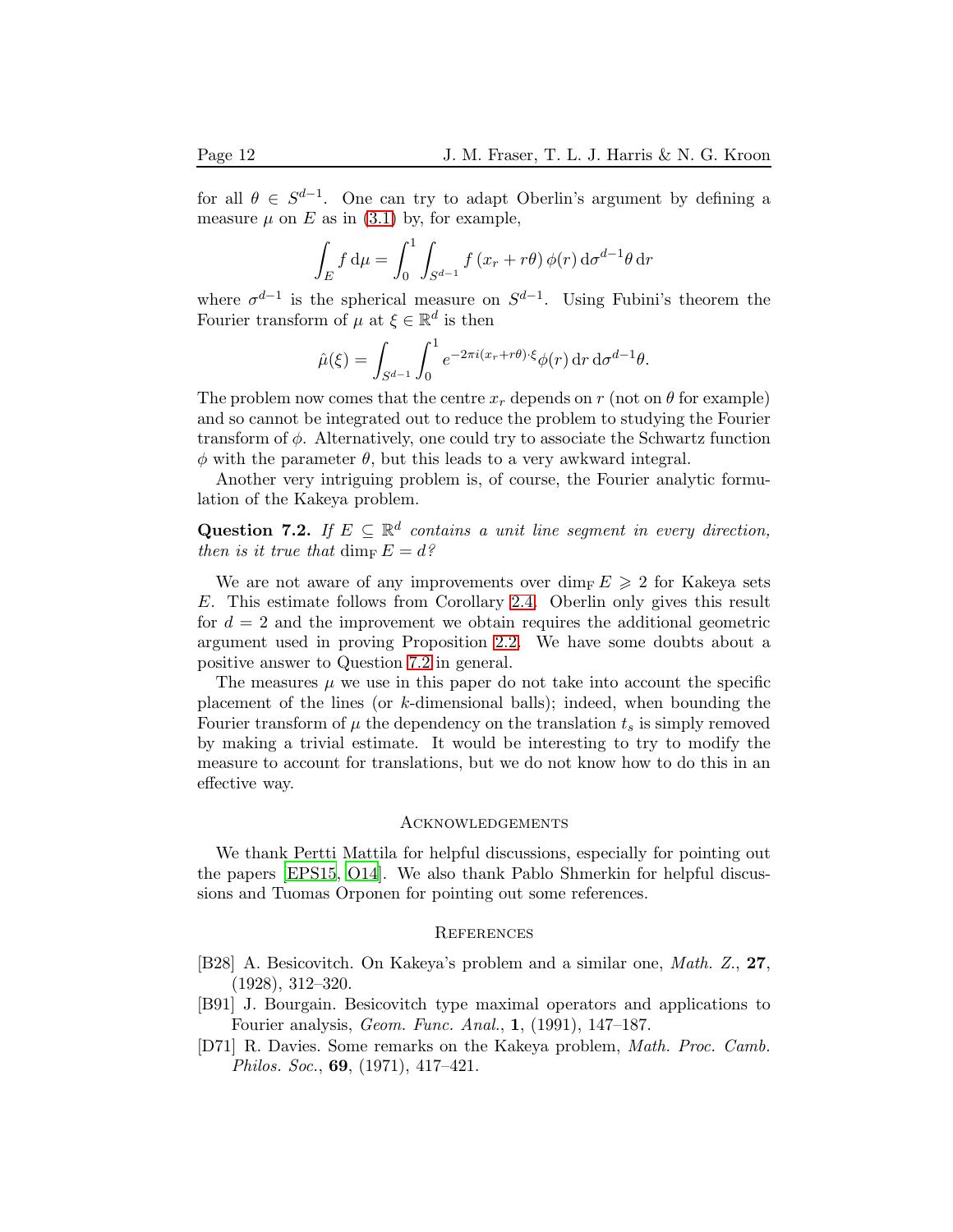for all  $\theta \in S^{d-1}$ . One can try to adapt Oberlin's argument by defining a measure  $\mu$  on E as in [\(3.1\)](#page-5-1) by, for example,

$$
\int_{E} f d\mu = \int_{0}^{1} \int_{S^{d-1}} f(x_r + r\theta) \phi(r) d\sigma^{d-1}\theta dr
$$

where  $\sigma^{d-1}$  is the spherical measure on  $S^{d-1}$ . Using Fubini's theorem the Fourier transform of  $\mu$  at  $\xi \in \mathbb{R}^d$  is then

$$
\hat{\mu}(\xi) = \int_{S^{d-1}} \int_0^1 e^{-2\pi i (x_r + r\theta) \cdot \xi} \phi(r) \, dr \, d\sigma^{d-1} \theta.
$$

The problem now comes that the centre  $x_r$  depends on r (not on  $\theta$  for example) and so cannot be integrated out to reduce the problem to studying the Fourier transform of  $\phi$ . Alternatively, one could try to associate the Schwartz function  $\phi$  with the parameter  $\theta$ , but this leads to a very awkward integral.

Another very intriguing problem is, of course, the Fourier analytic formulation of the Kakeya problem.

<span id="page-11-3"></span>Question 7.2. If  $E \subseteq \mathbb{R}^d$  contains a unit line segment in every direction, then is it true that dime  $E = d$ ?

We are not aware of any improvements over  $\dim_{\mathbf{F}} E \geqslant 2$  for Kakeya sets E. This estimate follows from Corollary [2.4.](#page-3-3) Oberlin only gives this result for  $d = 2$  and the improvement we obtain requires the additional geometric argument used in proving Proposition [2.2.](#page-3-1) We have some doubts about a positive answer to Question [7.2](#page-11-3) in general.

The measures  $\mu$  we use in this paper do not take into account the specific placement of the lines (or k-dimensional balls); indeed, when bounding the Fourier transform of  $\mu$  the dependency on the translation  $t_s$  is simply removed by making a trivial estimate. It would be interesting to try to modify the measure to account for translations, but we do not know how to do this in an effective way.

#### **ACKNOWLEDGEMENTS**

We thank Pertti Mattila for helpful discussions, especially for pointing out the papers [\[EPS15](#page-12-11), [O14\]](#page-12-10). We also thank Pablo Shmerkin for helpful discussions and Tuomas Orponen for pointing out some references.

#### **REFERENCES**

- <span id="page-11-0"></span>[B28] A. Besicovitch. On Kakeya's problem and a similar one, Math. Z., 27, (1928), 312–320.
- <span id="page-11-2"></span>[B91] J. Bourgain. Besicovitch type maximal operators and applications to Fourier analysis, Geom. Func. Anal., 1, (1991), 147–187.
- <span id="page-11-1"></span>[D71] R. Davies. Some remarks on the Kakeya problem, Math. Proc. Camb. Philos. Soc., 69, (1971), 417–421.